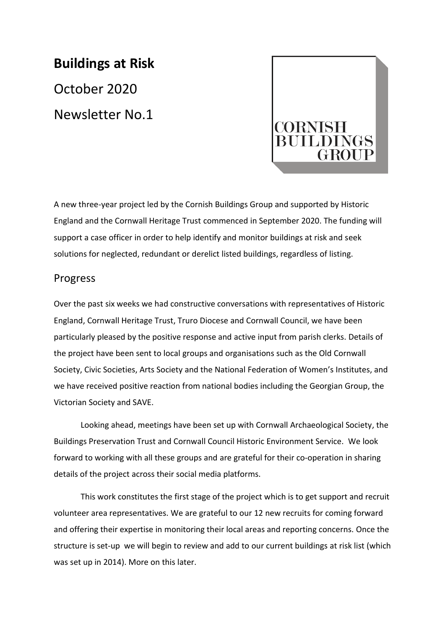# **Buildings at Risk**  October 2020 Newsletter No.1



A new three-year project led by the Cornish Buildings Group and supported by Historic England and the Cornwall Heritage Trust commenced in September 2020. The funding will support a case officer in order to help identify and monitor buildings at risk and seek solutions for neglected, redundant or derelict listed buildings, regardless of listing.

#### Progress

Over the past six weeks we had constructive conversations with representatives of Historic England, Cornwall Heritage Trust, Truro Diocese and Cornwall Council, we have been particularly pleased by the positive response and active input from parish clerks. Details of the project have been sent to local groups and organisations such as the Old Cornwall Society, Civic Societies, Arts Society and the National Federation of Women's Institutes, and we have received positive reaction from national bodies including the Georgian Group, the Victorian Society and SAVE.

Looking ahead, meetings have been set up with Cornwall Archaeological Society, the Buildings Preservation Trust and Cornwall Council Historic Environment Service. We look forward to working with all these groups and are grateful for their co-operation in sharing details of the project across their social media platforms.

This work constitutes the first stage of the project which is to get support and recruit volunteer area representatives. We are grateful to our 12 new recruits for coming forward and offering their expertise in monitoring their local areas and reporting concerns. Once the structure is set-up we will begin to review and add to our current buildings at risk list (which was set up in 2014). More on this later.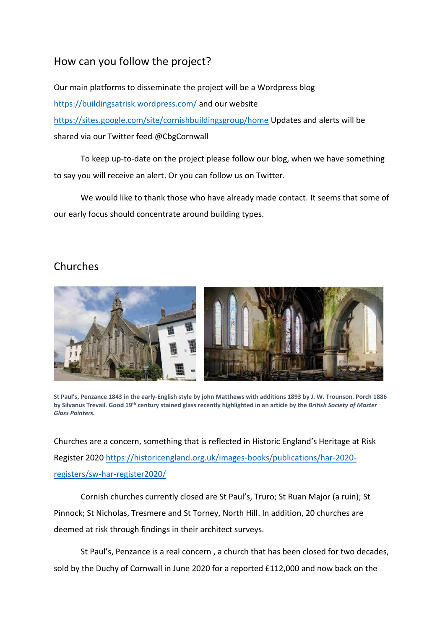## How can you follow the project?

Our main platforms to disseminate the project will be a Wordpress blog <https://buildingsatrisk.wordpress.com/> and our website <https://sites.google.com/site/cornishbuildingsgroup/home> Updates and alerts will be shared via our Twitter feed @CbgCornwall

To keep up-to-date on the project please follow our blog, when we have something to say you will receive an alert. Or you can follow us on Twitter.

We would like to thank those who have already made contact. It seems that some of our early focus should concentrate around building types.

## Churches



**St Paul's, Penzance 1843 in the early-English style by john Matthews with additions 1893 by J. W. Trounson**. **Porch 1886 by Silvanus Trevail. Good 19th century stained glass recently highlighted in an article by the** *British Society of Master Glass Painters.*

Churches are a concern, something that is reflected in Historic England's Heritage at Risk Register 2020 [https://historicengland.org.uk/images-books/publications/har-2020](https://historicengland.org.uk/images-books/publications/har-2020-registers/sw-har-register2020/) [registers/sw-har-register2020/](https://historicengland.org.uk/images-books/publications/har-2020-registers/sw-har-register2020/)

Cornish churches currently closed are St Paul's, Truro; St Ruan Major (a ruin); St Pinnock; St Nicholas, Tresmere and St Torney, North Hill. In addition, 20 churches are deemed at risk through findings in their architect surveys.

St Paul's, Penzance is a real concern , a church that has been closed for two decades, sold by the Duchy of Cornwall in June 2020 for a reported £112,000 and now back on the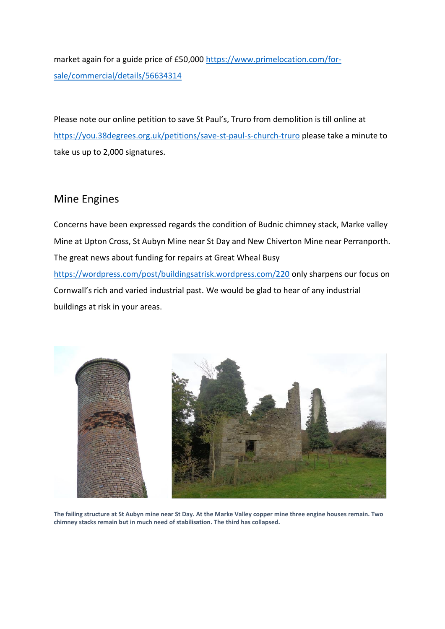market again for a guide price of £50,000 [https://www.primelocation.com/for](https://www.primelocation.com/for-sale/commercial/details/56634314)[sale/commercial/details/56634314](https://www.primelocation.com/for-sale/commercial/details/56634314)

Please note our online petition to save St Paul's, Truro from demolition is till online at <https://you.38degrees.org.uk/petitions/save-st-paul-s-church-truro> please take a minute to take us up to 2,000 signatures.

### Mine Engines

Concerns have been expressed regards the condition of Budnic chimney stack, Marke valley Mine at Upton Cross, St Aubyn Mine near St Day and New Chiverton Mine near Perranporth. The great news about funding for repairs at Great Wheal Busy <https://wordpress.com/post/buildingsatrisk.wordpress.com/220> only sharpens our focus on Cornwall's rich and varied industrial past. We would be glad to hear of any industrial buildings at risk in your areas.



**The failing structure at St Aubyn mine near St Day. At the Marke Valley copper mine three engine houses remain. Two chimney stacks remain but in much need of stabilisation. The third has collapsed.**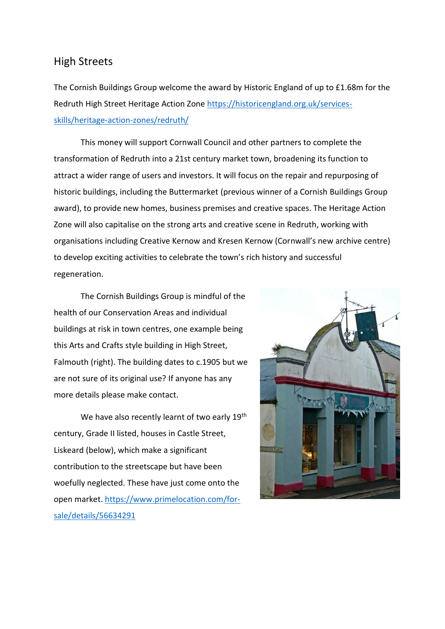#### High Streets

The Cornish Buildings Group welcome the award by Historic England of up to £1.68m for the Redruth High Street Heritage Action Zone [https://historicengland.org.uk/services](https://historicengland.org.uk/services-skills/heritage-action-zones/redruth/)[skills/heritage-action-zones/redruth/](https://historicengland.org.uk/services-skills/heritage-action-zones/redruth/)

This money will support Cornwall Council and other partners to complete the transformation of Redruth into a 21st century market town, broadening its function to attract a wider range of users and investors. It will focus on the repair and repurposing of historic buildings, including the Buttermarket (previous winner of a Cornish Buildings Group award), to provide new homes, business premises and creative spaces. The Heritage Action Zone will also capitalise on the strong arts and creative scene in Redruth, working with organisations including Creative Kernow and Kresen Kernow (Cornwall's new archive centre) to develop exciting activities to celebrate the town's rich history and successful regeneration.

The Cornish Buildings Group is mindful of the health of our Conservation Areas and individual buildings at risk in town centres, one example being this Arts and Crafts style building in High Street, Falmouth (right). The building dates to c.1905 but we are not sure of its original use? If anyone has any more details please make contact.

We have also recently learnt of two early 19<sup>th</sup> century, Grade II listed, houses in Castle Street, Liskeard (below), which make a significant contribution to the streetscape but have been woefully neglected. These have just come onto the open market. [https://www.primelocation.com/for](https://www.primelocation.com/for-sale/details/56634291)[sale/details/56634291](https://www.primelocation.com/for-sale/details/56634291)

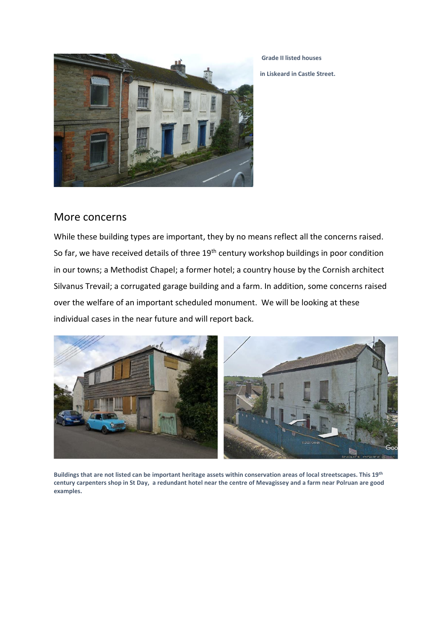

**Grade II listed houses in Liskeard in Castle Street.**

#### More concerns

While these building types are important, they by no means reflect all the concerns raised. So far, we have received details of three 19<sup>th</sup> century workshop buildings in poor condition in our towns; a Methodist Chapel; a former hotel; a country house by the Cornish architect Silvanus Trevail; a corrugated garage building and a farm. In addition, some concerns raised over the welfare of an important scheduled monument. We will be looking at these individual cases in the near future and will report back.



**Buildings that are not listed can be important heritage assets within conservation areas of local streetscapes. This 19th century carpenters shop in St Day, a redundant hotel near the centre of Mevagissey and a farm near Polruan are good examples.**